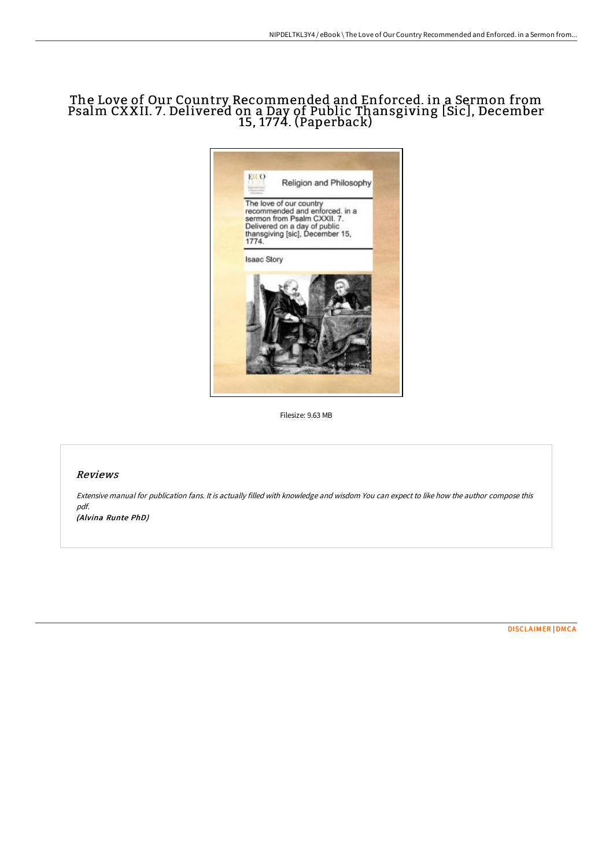# The Love of Our Country Recommended and Enforced. in a Sermon from Psalm CXXII. 7. Delivered on a Day of Public Thansgiving [Sic], December 15, 1774. (Paperback)



Filesize: 9.63 MB

## Reviews

Extensive manual for publication fans. It is actually filled with knowledge and wisdom You can expect to like how the author compose this pdf. (Alvina Runte PhD)

[DISCLAIMER](http://albedo.media/disclaimer.html) | [DMCA](http://albedo.media/dmca.html)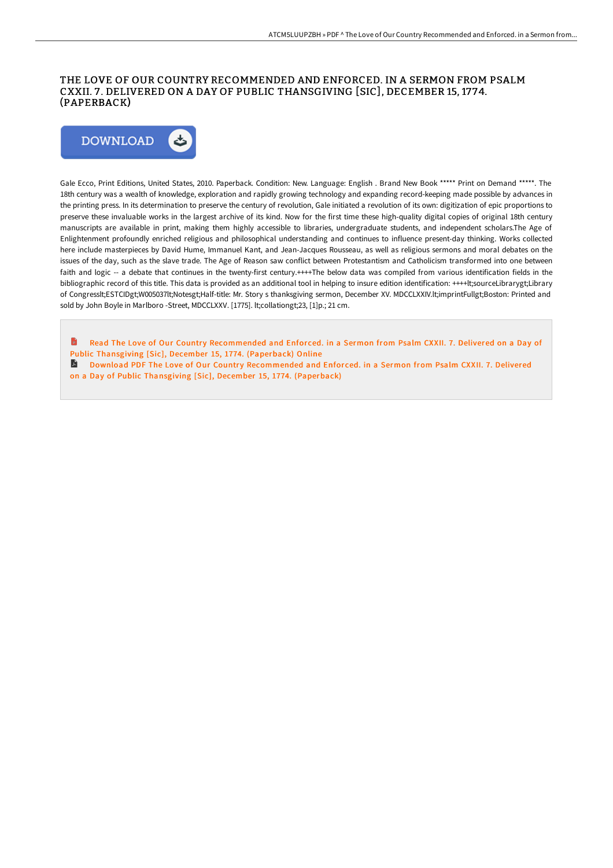### THE LOVE OF OUR COUNTRY RECOMMENDED AND ENFORCED. IN A SERMON FROM PSALM CXXII. 7 . DELIVERED ON A DAY OF PUBLIC THANSGIVING [SIC], DECEMBER 15, 17 74. (PAPERBACK)



Gale Ecco, Print Editions, United States, 2010. Paperback. Condition: New. Language: English . Brand New Book \*\*\*\*\* Print on Demand \*\*\*\*\*. The 18th century was a wealth of knowledge, exploration and rapidly growing technology and expanding record-keeping made possible by advances in the printing press. In its determination to preserve the century of revolution, Gale initiated a revolution of its own: digitization of epic proportions to preserve these invaluable works in the largest archive of its kind. Now for the first time these high-quality digital copies of original 18th century manuscripts are available in print, making them highly accessible to libraries, undergraduate students, and independent scholars.The Age of Enlightenment profoundly enriched religious and philosophical understanding and continues to influence present-day thinking. Works collected here include masterpieces by David Hume, Immanuel Kant, and Jean-Jacques Rousseau, as well as religious sermons and moral debates on the issues of the day, such as the slave trade. The Age of Reason saw conflict between Protestantism and Catholicism transformed into one between faith and logic -- a debate that continues in the twenty-first century.++++The below data was compiled from various identification fields in the bibliographic record of this title. This data is provided as an additional tool in helping to insure edition identification: ++++lt;sourceLibrarygt;Library of Congresslt;ESTCIDgt;W005037lt;Notesgt;Half-title: Mr. Story s thanksgiving sermon, December XV. MDCCLXXIV.lt;imprintFullgt;Boston: Printed and sold by John Boyle in Marlboro -Street, MDCCLXXV. [1775]. lt;collationgt;23, [1]p.; 21 cm.

- Read The Love of Our Country [Recommended](http://albedo.media/the-love-of-our-country-recommended-and-enforced.html) and Enforced. in a Sermon from Psalm CXXII. 7. Delivered on a Day of Public Thansgiving [Sic], December 15, 1774. (Paperback) Online
- Download PDF The Love of Our Country [Recommended](http://albedo.media/the-love-of-our-country-recommended-and-enforced.html) and Enforced. in a Sermon from Psalm CXXII. 7. Delivered on a Day of Public Thansgiving [Sic], December 15, 1774. (Paperback)